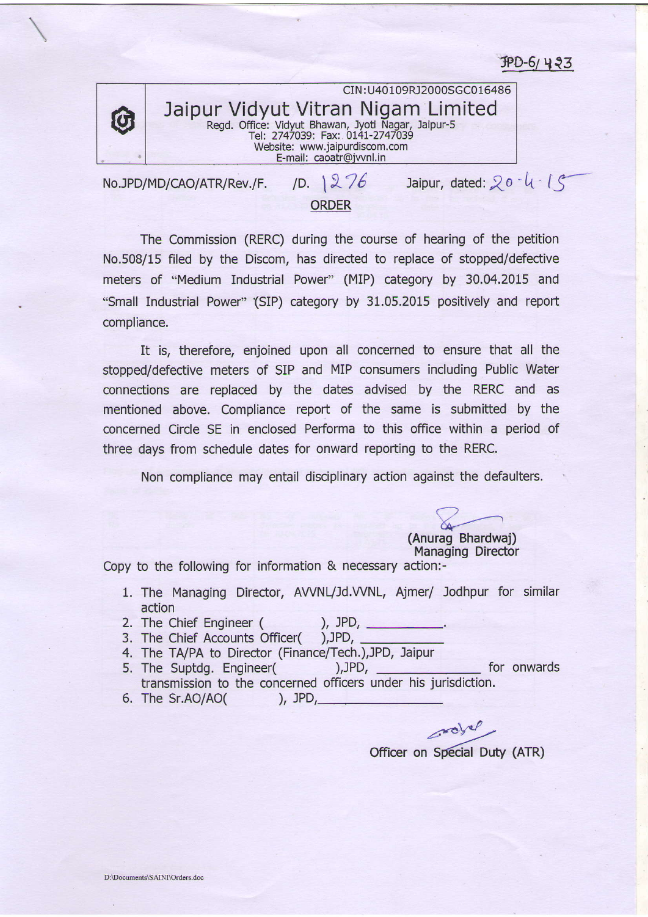$JPD-6/433$ 



CIN : U40109RJ2000SGC016486 Jaipur Vidyut Vitran Nigam Limited Regd. Office: Vidyut Bhawan, Jyoti Nagar, Jaipur-5<br>Tel: 2747039: Fax: 0141-2747039 Website: www,jaipurdiscom.com E-mail: caoatr@iwnl,in

No.JPD/MD/CAO/ATR/Rev./F. ORDER /D.  $1276$  Jaipur, dated:  $20 - 4.15$ 

The Commission (RERC) during the course of hearing of the petition No.508/15 filed by the Discom, has directed to replace of stopped/defective meters of "Medium Industrial Power' (MIP) category by 30,04.2015 and "Small Industrial Power" (SIP) category by 31.05.2015 positively and report compliance.

It is, therefore, enjoined upon all concerned to ensure that all the stopped/defective meters of SIP and MIP consumers including Public Water connections are replaced by the dates advised by the RERC and as mentioned above. Compliance report of the same is submitted by the concerned Circle SE in enclosed Performa to this office within a period of three days from schedule dates for onward reporting to the RERC.

Non compliance may entail disciplinary action against the defaulters.

(Anurag Bhardwaj) Managing Director

Copy to the following for information  $&$  necessary action:-

- 1. The Managing Director, AVVNL/Jd.VVNL, Ajmer/ Jodhpur for similar action
- 2. The Chief Engineer ( ), JPD,
- 3. The Chief Accounts Officer( ),JPD,
- 4. The TA/PA to Director (Finance/Tech.), JPD, Jaipur
- 5. The Suptdg. Engineer( ),JPD, \_\_\_\_\_\_\_\_\_\_\_\_\_\_\_ for onwards transmission to the concerned officers under his jurisdiction. 6. The Sr.AO/AO( ), JPD,

officer on Special Duty (ATR)